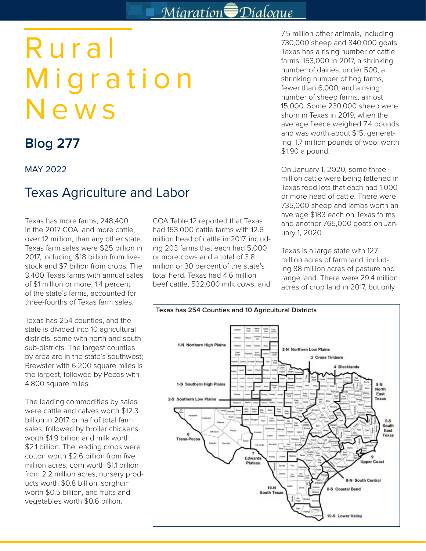## Migration Dialogue

# Rural Migration News

## **Blog 277**

MAY 2022

### Texas Agriculture and Labor

Texas has more farms, 248,400 in the 2017 COA, and more cattle, over 12 million, than any other state. Texas farm sales were \$25 billion in 2017, including \$18 billion from livestock and \$7 billion from crops. The 3,400 Texas farms with annual sales of \$1 million or more, 1.4 percent of the state's farms, accounted for three-fourths of Texas farm sales.

Texas has 254 counties, and the state is divided into 10 agricultural districts, some with north and south sub-districts. The largest counties by area are in the state's southwest; Brewster with 6,200 square miles is the largest, followed by Pecos with 4,800 square miles.

The leading commodities by sales were cattle and calves worth \$12.3 billion in 2017 or half of total farm sales, followed by broiler chickens worth \$1.9 billion and milk worth \$2.1 billion. The leading crops were cotton worth \$2.6 billion from five million acres, corn worth \$1.1 billion from 2.2 million acres, nursery products worth \$0.8 billion, sorghum worth \$0.5 billion, and fruits and vegetables worth \$0.6 billion.

COA Table 12 reported that Texas had 153,000 cattle farms with 12.6 million head of cattle in 2017, including 203 farms that each had 5,000 or more cows and a total of 3.8 million or 30 percent of the state's total herd. Texas had 4.6 million beef cattle, 532,000 milk cows, and

7.5 million other animals, including 730,000 sheep and 840,000 goats. Texas has a rising number of cattle farms, 153,000 in 2017, a shrinking number of dairies, under 500, a shrinking number of hog farms, fewer than 6,000, and a rising number of sheep farms, almost 15,000. Some 230,000 sheep were shorn in Texas in 2019, when the average fleece weighed 7.4 pounds and was worth about \$15, generating 1.7 million pounds of wool worth \$1.90 a pound.

On January 1, 2020, some three million cattle were being fattened in Texas feed lots that each had 1,000 or more head of cattle. There were 735,000 sheep and lambs worth an average \$183 each on Texas farms, and another 765,000 goats on January 1, 2020.

Texas is a large state with 127 million acres of farm land, including 88 million acres of pasture and range land. There were 29.4 million acres of crop land in 2017, but only

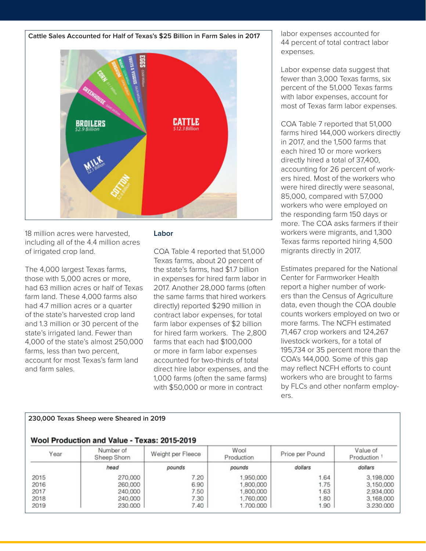**Cattle Sales Accounted for Half of Texas's \$25 Billion in Farm Sales in 2017**



18 million acres were harvested, including all of the 4.4 million acres of irrigated crop land.

The 4,000 largest Texas farms, those with 5,000 acres or more, had 63 million acres or half of Texas farm land. These 4,000 farms also had 4.7 million acres or a quarter of the state's harvested crop land and 1.3 million or 30 percent of the state's irrigated land. Fewer than 4,000 of the state's almost 250,000 farms, less than two percent, account for most Texas's farm land and farm sales.

#### **Labor**

COA Table 4 reported that 51,000 Texas farms, about 20 percent of the state's farms, had \$1.7 billion in expenses for hired farm labor in 2017. Another 28,000 farms (often the same farms that hired workers directly) reported \$290 million in contract labor expenses, for total farm labor expenses of \$2 billion for hired farm workers. The 2,800 farms that each had \$100,000 or more in farm labor expenses accounted for two-thirds of total direct hire labor expenses, and the 1,000 farms (often the same farms) with \$50,000 or more in contract

labor expenses accounted for 44 percent of total contract labor expenses.

Labor expense data suggest that fewer than 3,000 Texas farms, six percent of the 51,000 Texas farms with labor expenses, account for most of Texas farm labor expenses.

COA Table 7 reported that 51,000 farms hired 144,000 workers directly in 2017, and the 1,500 farms that each hired 10 or more workers directly hired a total of 37,400, accounting for 26 percent of workers hired. Most of the workers who were hired directly were seasonal, 85,000, compared with 57,000 workers who were employed on the responding farm 150 days or more. The COA asks farmers if their workers were migrants, and 1,300 Texas farms reported hiring 4,500 migrants directly in 2017.

Estimates prepared for the National Center for Farmworker Health report a higher number of workers than the Census of Agriculture data, even though the COA double counts workers employed on two or more farms. The NCFH estimated 71,467 crop workers and 124,267 livestock workers, for a total of 195,734 or 35 percent more than the COA's 144,000. Some of this gap may reflect NCFH efforts to count workers who are brought to farms by FLCs and other nonfarm employers.

| Year | Number of<br>Weight per Fleece<br>Sheep Shorn |        | Wool<br>Production | Price per Pound | Value of<br>Production |  |
|------|-----------------------------------------------|--------|--------------------|-----------------|------------------------|--|
|      | head                                          | pounds | pounds             | dollars         | dollars                |  |
| 2015 | 270,000                                       | 7.20   | 1,950,000          | 1.64            | 3,198,000              |  |
| 2016 | 260,000                                       | 6.90   | 1,800,000          | 1.75            | 3.150,000              |  |
| 2017 | 240,000                                       | 7.50   | 1.800.000          | 1.63            | 2,934,000              |  |
| 2018 | 240,000                                       | 7.30   | 1,760,000          | 1.80            | 3,168,000              |  |
| 2019 | 230.000                                       | 7.40   | 1.700.000          | 1.90            | 3.230.000              |  |

#### **230,000 Texas Sheep were Sheared in 2019**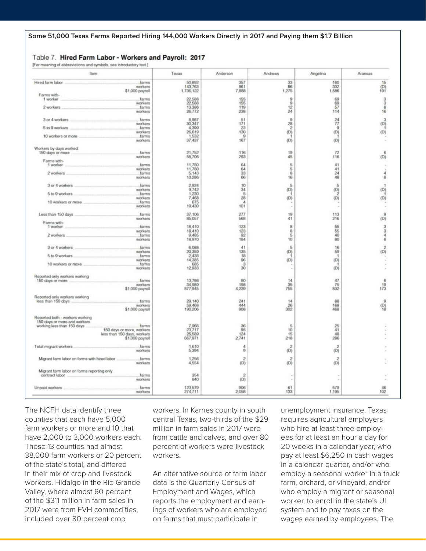#### Table 7. Hired Farm Labor - Workers and Payroll: 2017 IFor meaning of abbreviations and symbols, see introductory text I

| Item                                                                   | Texas                | Anderson                | Andrews                 | Angelina       | Aransas                        |
|------------------------------------------------------------------------|----------------------|-------------------------|-------------------------|----------------|--------------------------------|
| Hired farm labor<br>farms                                              | 50,892               | 357                     | 33                      | 160            | 15                             |
| workers<br>\$1,000 payroll                                             | 143,763<br>1,736,122 | 861<br>7,888            | 86<br>1,275             | 332<br>1,586   | $_{191}^{(D)}$                 |
| Farms with-                                                            |                      |                         |                         |                |                                |
| 1 worker<br>.farms                                                     | 22,588               | 155                     | 9                       | 69             | $\frac{3}{3}$                  |
| workers                                                                | 22,588               | 155                     | $\Omega$                | 69             |                                |
| 2 workers<br>.farms<br>workers                                         | 13,386<br>26.772     | 119<br>238              | 12<br>24                | 57<br>114      | 8<br>16                        |
|                                                                        |                      |                         |                         |                |                                |
| .farms<br>3 or 4 workers                                               | 8,967                | 51                      | $\Omega$                | 24             | $\overline{3}$                 |
| workers                                                                | 30,347               | 171                     | 28                      | 77             | (D)                            |
| 5 to 9 workers<br>farms                                                | 4,399                | 23                      | $\overline{\mathbf{z}}$ | $\Omega$       |                                |
| workers                                                                | 26,619               | 130                     | (D)                     | (D)            | (D)                            |
| .farms<br>10 workers or more<br>workers                                | 1,532<br>37,437      | $\Omega$<br>167         | (D)                     | (D)            |                                |
|                                                                        |                      |                         |                         |                |                                |
| Workers by days worked:                                                |                      |                         |                         |                |                                |
| farms<br>150 days or more                                              | 21.752               | 116                     | 19                      | 72             | 6                              |
| workers                                                                | 58,706               | 293                     | 45                      | 116            | (D)                            |
| Farms with-                                                            |                      |                         |                         |                |                                |
| 1 worker<br>farms<br>workers                                           | 11,780<br>11,780     | 64<br>64                | 5<br>5                  | 41<br>41       |                                |
| and in the contribution of the contribution<br>2 workers<br>farms      | 5.143                | 33                      | B                       | 24             | 4                              |
| workers                                                                | 10,286               | 66                      | 16                      | 48             | $\rm B$                        |
|                                                                        |                      |                         |                         |                |                                |
| farms<br>3 or 4 workers                                                | 2.924                | 10                      | 5                       | 5              |                                |
| workers                                                                | 9,742                | 34                      | (D)                     | (D)            | (D)                            |
| 5 to 9 workers<br><b>CONTRACTOR CONTRACTOR CONTRACTOR</b><br>farms     | 1,230                | 5                       |                         | 2              |                                |
| workers<br>farms<br>10 workers or more                                 | 7,468<br>675         | 28<br>$\boldsymbol{A}$  | (D)                     | (D)            | (D)                            |
| workers                                                                | 19,430               | 101                     |                         |                |                                |
|                                                                        |                      |                         |                         |                |                                |
| Less than 150 days<br>farms                                            | 37.106               | 277                     | 19                      | 113            | $\mathbf{Q}$                   |
| workers                                                                | 85,057               | 568                     | 41                      | 216            | (D)                            |
| Farms with-                                                            |                      |                         | 8                       |                |                                |
| 1 worker<br>farms<br>workers                                           | 18,410<br>18,410     | 123<br>123              | 8                       | 55<br>55       | 3<br>$\ensuremath{\mathbf{3}}$ |
| 2 workers<br>farms                                                     | 9.485                | 92                      | 5                       | 40             | 4                              |
| workers                                                                | 18,970               | 184                     | 10                      | 80             | 8                              |
|                                                                        |                      |                         |                         |                |                                |
| farms<br>3 or 4 workers                                                | 6,088                | 41                      | $\overline{5}$          | 16             | $\bar{z}$                      |
| workers                                                                | 20,359               | 135                     | (D)                     | 59             | (D)                            |
| 5 to 9 workers<br>.farms<br>workers                                    | 2,438<br>14,385      | 18<br>96                | (D)                     | л<br>(D)       |                                |
| 10 workers or more<br>.farms                                           | 685                  | 3                       |                         |                |                                |
| workers                                                                | 12,933               | 30                      |                         | (D)            |                                |
|                                                                        |                      |                         |                         |                |                                |
| Reported only workers working                                          |                      |                         |                         |                |                                |
| 150 days or more<br>farms                                              | 13,786               | 80                      | 14<br>35                | 47             | 6                              |
| workers<br>\$1,000 payroll                                             | 34,989<br>877,945    | 198<br>4,239            | 755                     | 75<br>832      | 19<br>173                      |
|                                                                        |                      |                         |                         |                |                                |
| Reported only workers working                                          |                      |                         |                         |                |                                |
| less than 150 days<br>farms                                            | 29.140               | 241                     | 14                      | 88             | $\overline{9}$                 |
| workers                                                                | 59,468               | 444                     | 26                      | 168            | (D)                            |
| \$1,000 payroll                                                        | 190,206              | 908                     | 302                     | 468            | tŔ                             |
| Reported both - workers working                                        |                      |                         |                         |                |                                |
| 150 days or more and workers.                                          |                      |                         |                         |                |                                |
| working less than 150 days<br>.farms                                   | 7,966                | 36                      | 5                       | 25             |                                |
| 150 days or more, workers                                              | 23,717               | 96                      | 10                      | 41             |                                |
| less than 150 days, workers                                            | 25,589               | 124                     | 15                      | 48             |                                |
| \$1,000 payroll                                                        | 667,971              | 2,741                   | 218                     | 286            |                                |
| farms<br>Total migrant workers                                         | 1,610                | 4                       | $\overline{2}$          | $\overline{2}$ |                                |
| workers                                                                | 5,394                | 9                       | (D)                     | (D)            |                                |
|                                                                        |                      |                         |                         |                |                                |
| farms                                                                  | 1,256                | $\overline{\mathbf{z}}$ | 2                       | 2              |                                |
| workers                                                                | 4,554                | (D)                     | (D)                     | (D)            |                                |
|                                                                        |                      |                         |                         |                |                                |
| Migrant farm labor on farms reporting only<br>contract labor<br>.farms | 354                  | $\overline{2}$          |                         |                |                                |
| workers                                                                | 840                  | (D)                     |                         |                |                                |
|                                                                        |                      |                         |                         |                |                                |
| farms<br>Unpaid workers                                                | 123,579              | 906                     | 61                      | 579            | 46                             |
|                                                                        | 274,711              | 2,058                   | 133                     | 1,195          | 102                            |

The NCFH data identify three counties that each have 5,000 farm workers or more and 10 that have 2,000 to 3,000 workers each. These 13 counties had almost 38,000 farm workers or 20 percent of the state's total, and differed in their mix of crop and livestock workers. Hidalgo in the Rio Grande Valley, where almost 60 percent of the \$311 million in farm sales in 2017 were from FVH commodities, included over 80 percent crop

workers. In Karnes county in south central Texas, two-thirds of the \$29 million in farm sales in 2017 were from cattle and calves, and over 80 percent of workers were livestock workers.

An alternative source of farm labor data is the Quarterly Census of Employment and Wages, which reports the employment and earnings of workers who are employed on farms that must participate in

unemployment insurance. Texas requires agricultural employers who hire at least three employees for at least an hour a day for 20 weeks in a calendar year, who pay at least \$6,250 in cash wages in a calendar quarter, and/or who employ a seasonal worker in a truck farm, orchard, or vineyard, and/or who employ a migrant or seasonal worker, to enroll in the state's UI system and to pay taxes on the wages earned by employees. The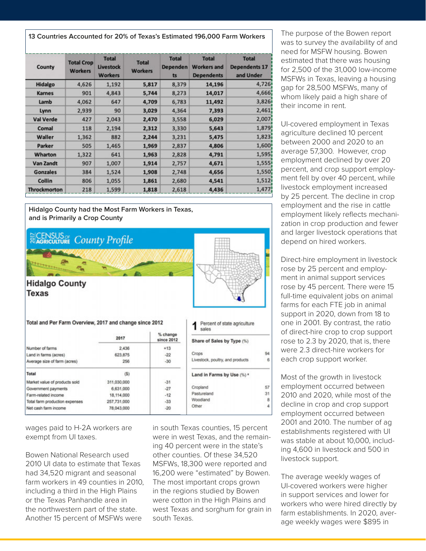**13 Countries Accounted for 20% of Texas's Estimated 196,000 Farm Workers**

| County              | <b>Total Crop</b><br><b>Workers</b> | <b>Total</b><br><b>Livestock</b><br><b>Workers</b> | <b>Total</b><br><b>Workers</b> | <b>Total</b><br>Dependen<br>ts | <b>Total</b><br><b>Workers and</b><br><b>Dependents</b> | <b>Total</b><br><b>Dependents 17</b><br>and Under |
|---------------------|-------------------------------------|----------------------------------------------------|--------------------------------|--------------------------------|---------------------------------------------------------|---------------------------------------------------|
| Hidalgo             | 4,626                               | 1,192                                              | 5,817                          | 8,379                          | 14,196                                                  | 4,726                                             |
| <b>Karnes</b>       | 901                                 | 4,843                                              | 5,744                          | 8,273                          | 14,017                                                  | 4,666                                             |
| Lamb                | 4,062                               | 647                                                | 4,709                          | 6,783                          | 11,492                                                  | 3,826                                             |
| Lynn                | 2,939                               | 90                                                 | 3,029                          | 4,364                          | 7,393                                                   | 2,461                                             |
| <b>Val Verde</b>    | 427                                 | 2,043                                              | 2,470                          | 3,558                          | 6,029                                                   | 2,007i                                            |
| Comal               | 118                                 | 2,194                                              | 2,312                          | 3,330                          | 5,643                                                   | 1,879                                             |
| Waller              | 1,362                               | 882                                                | 2,244                          | 3,231                          | 5,475                                                   | 1,823                                             |
| Parker              | 505                                 | 1,465                                              | 1,969                          | 2,837                          | 4,806                                                   | 1,600                                             |
| Wharton             | 1,322                               | 641                                                | 1,963                          | 2,828                          | 4,791                                                   | 1,595                                             |
| Van Zandt           | 907                                 | 1,007                                              | 1,914                          | 2,757                          | 4,671                                                   | 1,555                                             |
| <b>Gonzales</b>     | 384                                 | 1,524                                              | 1,908                          | 2,748                          | 4,656                                                   | 1,550                                             |
| <b>Collin</b>       | 806                                 | 1,055                                              | 1,861                          | 2,680                          | 4,541                                                   | 1,512                                             |
| <b>Throckmorton</b> | 218                                 | 1,599                                              | 1,818                          | 2,618                          | 4,436                                                   | 1,477                                             |

**Hidalgo County had the Most Farm Workers in Texas, and is Primarily a Crop County**



wages paid to H-2A workers are exempt from UI taxes.

Bowen National Research used 2010 UI data to estimate that Texas had 34,520 migrant and seasonal farm workers in 49 counties in 2010, including a third in the High Plains or the Texas Panhandle area in the northwestern part of the state. Another 15 percent of MSFWs were

in south Texas counties, 15 percent were in west Texas, and the remaining 40 percent were in the state's other counties. Of these 34,520 MSFWs, 18,300 were reported and 16,200 were "estimated" by Bowen. The most important crops grown in the regions studied by Bowen were cotton in the High Plains and west Texas and sorghum for grain in south Texas.

The purpose of the Bowen report was to survey the availability of and need for MSFW housing. Bowen estimated that there was housing for 2,500 of the 31,000 low-income MSFWs in Texas, leaving a housing gap for 28,500 MSFWs, many of whom likely paid a high share of their income in rent.

UI-covered employment in Texas agriculture declined 10 percent between 2000 and 2020 to an average 57,300. However, crop employment declined by over 20 percent, and crop support employment fell by over 40 percent, while livestock employment increased by 25 percent. The decline in crop employment and the rise in cattle employment likely reflects mechanization in crop production and fewer and larger livestock operations that depend on hired workers.

Direct-hire employment in livestock rose by 25 percent and employment in animal support services rose by 45 percent. There were 15 full-time equivalent jobs on animal farms for each FTE job in animal support in 2020, down from 18 to one in 2001. By contrast, the ratio of direct-hire crop to crop support rose to 2.3 by 2020, that is, there were 2.3 direct-hire workers for each crop support worker.

Most of the growth in livestock employment occurred between 2010 and 2020, while most of the decline in crop and crop support employment occurred between 2001 and 2010. The number of ag establishments registered with UI was stable at about 10,000, including 4,600 in livestock and 500 in livestock support.

The average weekly wages of UI-covered workers were higher in support services and lower for workers who were hired directly by farm establishments. In 2020, average weekly wages were \$895 in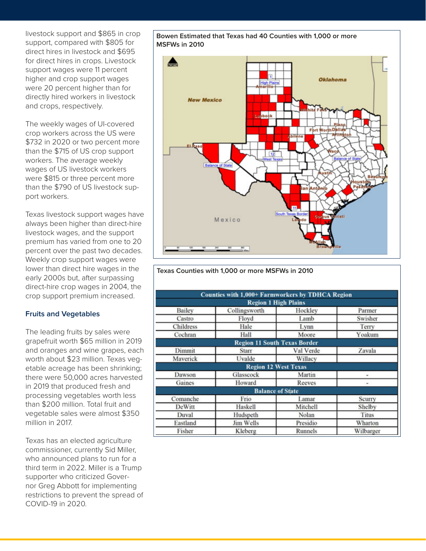livestock support and \$865 in crop support, compared with \$805 for direct hires in livestock and \$695 for direct hires in crops. Livestock support wages were 11 percent higher and crop support wages were 20 percent higher than for directly hired workers in livestock and crops, respectively.

The weekly wages of UI-covered crop workers across the US were \$732 in 2020 or two percent more than the \$715 of US crop support workers. The average weekly wages of US livestock workers were \$815 or three percent more than the \$790 of US livestock support workers.

Texas livestock support wages have always been higher than direct-hire livestock wages, and the support premium has varied from one to 20 percent over the past two decades. Weekly crop support wages were lower than direct hire wages in the early 2000s but, after surpassing direct-hire crop wages in 2004, the crop support premium increased.

#### **Fruits and Vegetables**

The leading fruits by sales were grapefruit worth \$65 million in 2019 and oranges and wine grapes, each worth about \$23 million. Texas vegetable acreage has been shrinking; there were 50,000 acres harvested in 2019 that produced fresh and processing vegetables worth less than \$200 million. Total fruit and vegetable sales were almost \$350 million in 2017.

Texas has an elected agriculture commissioner, currently Sid Miller, who announced plans to run for a third term in 2022. Miller is a Trump supporter who criticized Governor Greg Abbott for implementing restrictions to prevent the spread of COVID-19 in 2020.

**Bowen Estimated that Texas had 40 Counties with 1,000 or more MSFWs in 2010**



**Texas Counties with 1,000 or more MSFWs in 2010**

|                  | <b>Counties with 1,000+ Farmworkers by TDHCA Region</b> |                |           |  |
|------------------|---------------------------------------------------------|----------------|-----------|--|
|                  | <b>Region 1 High Plains</b>                             |                |           |  |
| Bailey           | Collingsworth                                           | Hockley        | Parmer    |  |
| Castro           | Floyd                                                   | Lamb           | Swisher   |  |
| <b>Childress</b> | Hale                                                    | Lynn           | Terry     |  |
| Cochran          | Hall                                                    | Moore          | Yoakum    |  |
|                  | <b>Region 11 South Texas Border</b>                     |                |           |  |
| Dimmit           | <b>Starr</b>                                            | Val Verde      | Zavala    |  |
| Maverick         | Uvalde                                                  | Willacy        |           |  |
|                  | <b>Region 12 West Texas</b>                             |                |           |  |
| Dawson           | Glasscock                                               | Martin         | ۰         |  |
| Gaines           | Howard                                                  | Reeves         | $-$       |  |
|                  | <b>Balance of State</b>                                 |                |           |  |
| Comanche         | Frio                                                    | Lamar          | Scurry    |  |
| DeWitt           | Haskell                                                 | Mitchell       | Shelby    |  |
| Duval            | Hudspeth                                                | Nolan          | Titus     |  |
| Eastland         | <b>Jim Wells</b>                                        | Presidio       | Wharton   |  |
| Fisher           | Kleberg                                                 | <b>Runnels</b> | Wilbarger |  |